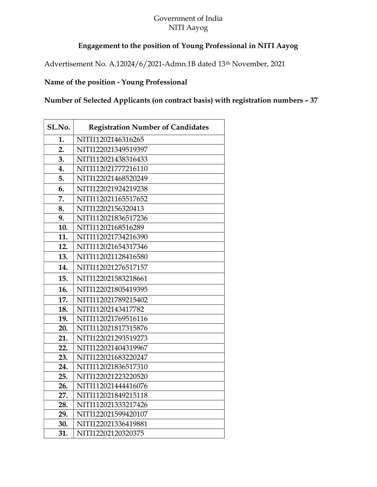## Government of India NITI Aayog

## Engagement to the position of Young Professional in NITI Aayog

Advertisement No. A.12024/6/2021-Admn.1B dated 13th November, 2021

## Name of the position - Young Professional

Number of Selected Applicants (on contract basis) with registration numbers – 37

| SL.No. | <b>Registration Number of Candidates</b> |
|--------|------------------------------------------|
| 1.     | NITI11202146316265                       |
| 2.     | NITI122021349519397                      |
| 3.     | NITI112021438316433                      |
| 4.     | NITI112021777216110                      |
| 5.     | NITI122021468520249                      |
| 6.     | NITI122021924219238                      |
| 7.     | NITI112021165517652                      |
| 8.     | NITI12202156320413                       |
| 9.     | NITI112021836517236                      |
| 10.    | NITI11202168516289                       |
| 11.    | NITI112021734216390                      |
| 12.    | NITI112021654317346                      |
| 13.    | NITI112021128416580                      |
| 14.    | NITI112021276517157                      |
| 15.    | NITI122021583218661                      |
| 16.    | NITI122021805419395                      |
| 17.    | NITI112021789215402                      |
| 18.    | NITI11202143417782                       |
| 19.    | NITI112021769516116                      |
| 20.    | NITI112021817315876                      |
| 21.    | NITI122021293519273                      |
| 22.    | NITI122021404319967                      |
| 23.    | NITI122021683220247                      |
| 24.    | NITI112021836517310                      |
| 25.    | NITI122021223220520                      |
| 26.    | NITI112021444416076                      |
| 27.    | NITI112021849215118                      |
| 28.    | NITI112021333217426                      |
| 29.    | NITI122021599420107                      |
| 30.    | NITI122021336419881                      |
| 31.    | NITI12202120320375                       |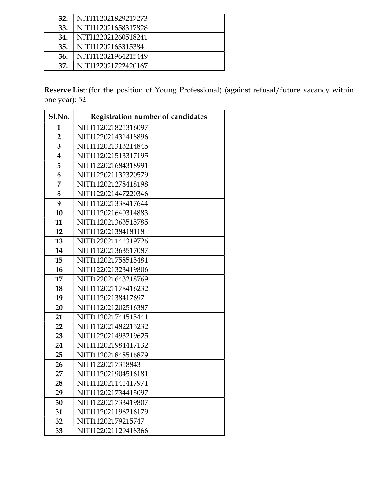| 32. | NITI112021829217273 |
|-----|---------------------|
| 33. | NITI112021658317828 |
| 34. | NITI122021260518241 |
| 35. | NITI11202163315384  |
| 36. | NITI112021964215449 |
| 37. | NITI122021722420167 |

Reserve List: (for the position of Young Professional) (against refusal/future vacancy within one year): 52

| <b>Sl.No.</b>           | Registration number of candidates |
|-------------------------|-----------------------------------|
| 1                       | NITI112021821316097               |
| $\overline{2}$          | NITI122021431418896               |
| 3                       | NITI112021313214845               |
| $\overline{\mathbf{4}}$ | NITI112021513317195               |
| 5                       | NITI122021684318991               |
| 6                       | NITI122021132320579               |
| 7                       | NITI112021278418198               |
| 8                       | NITI122021447220346               |
| 9                       | NITI112021338417644               |
| 10                      | NITI112021640314883               |
| 11                      | NITI112021363515785               |
| 12                      | NITI11202138418118                |
| 13                      | NITI122021141319726               |
| 14                      | NITI112021363517087               |
| 15                      | NITI112021758515481               |
| 16                      | NITI122021323419806               |
| 17                      | NITI122021643218769               |
| 18                      | NITI112021178416232               |
| 19                      | NITI11202138417697                |
| 20                      | NITI112021202516387               |
| 21                      | NITI112021744515441               |
| 22                      | NITI112021482215232               |
| 23                      | NITI122021493219625               |
| 24                      | NITI112021984417132               |
| 25                      | NITI112021848516879               |
| 26                      | NITI1220217318843                 |
| 27                      | NITI112021904516181               |
| 28                      | NITI112021141417971               |
| 29                      | NITI112021734415097               |
| 30                      | NITI122021733419807               |
| 31                      | NITI112021196216179               |
| 32                      | NITI11202179215747                |
| 33                      | NITI122021129418366               |